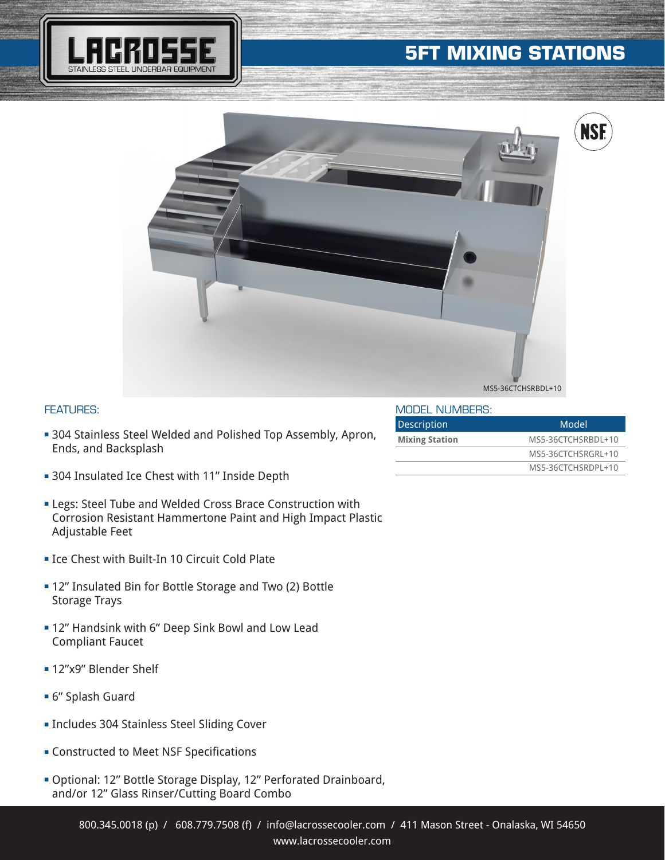## **5FT MIXING STATIONS**





## FEATURES:

- **304 Stainless Steel Welded and Polished Top Assembly, Apron,** Ends, and Backsplash
- **304 Insulated Ice Chest with 11" Inside Depth**
- **ELEGS: Steel Tube and Welded Cross Brace Construction with** Corrosion Resistant Hammertone Paint and High Impact Plastic Adjustable Feet
- **Example: 10 Circuit Cold Plate**
- **= 12" Insulated Bin for Bottle Storage and Two (2) Bottle** Storage Trays
- **= 12" Handsink with 6" Deep Sink Bowl and Low Lead** Compliant Faucet
- **= 12"x9" Blender Shelf**
- <sup>n</sup> 6" Splash Guard
- **Includes 304 Stainless Steel Sliding Cover**
- **EX Constructed to Meet NSF Specifications**
- <sup>n</sup> Optional: 12" Bottle Storage Display, 12" Perforated Drainboard, and/or 12" Glass Rinser/Cutting Board Combo

| MODEL NUMBERS:        |                    |
|-----------------------|--------------------|
| <b>Description</b>    | Model              |
| <b>Mixing Station</b> | MS5-36CTCHSRBDL+10 |
|                       | MS5-36CTCHSRGRL+10 |
|                       | MS5-36CTCHSRDPL+10 |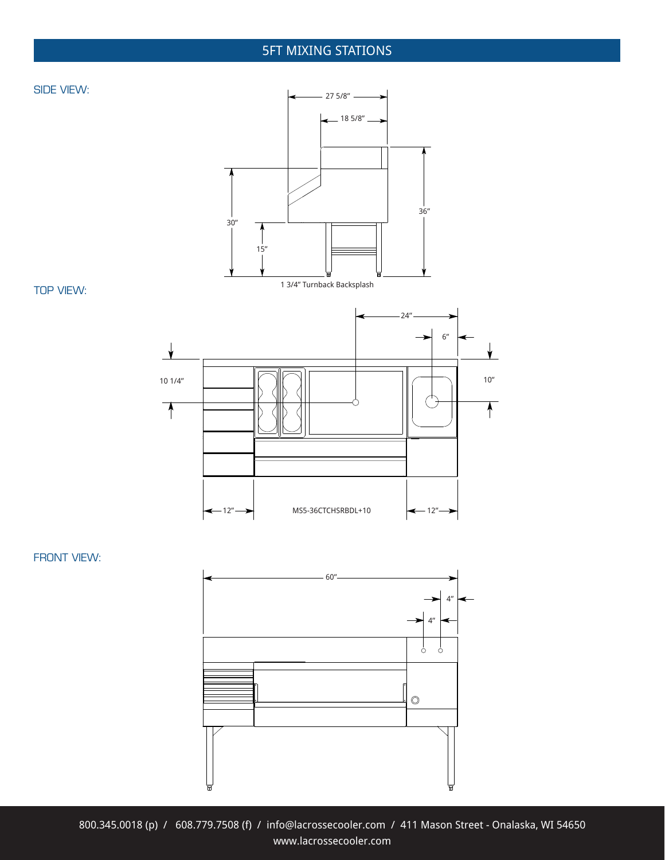## 5FT MIXING STATIONS





TOP VIEW:



FRONT VIEW: